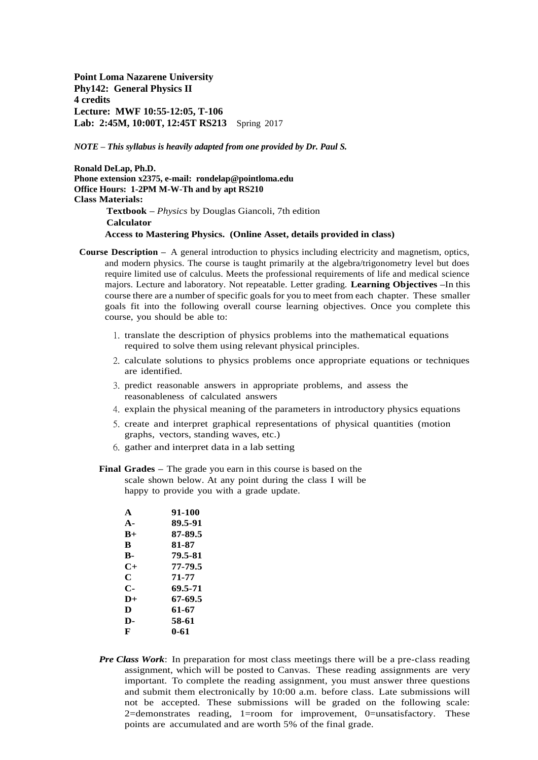**Point Loma Nazarene University Phy142: General Physics II 4 credits Lecture: MWF 10:55-12:05, T-106 Lab: 2:45M, 10:00T, 12:45T RS213** Spring 2017

*NOTE – This syllabus is heavily adapted from one provided by Dr. Paul S.* 

**Ronald DeLap, Ph.D. Phone extension x2375, e-mail: rondelap@pointloma.edu Office Hours: 1-2PM M-W-Th and by apt RS210 Class Materials: Textbook –** *Physics* by Douglas Giancoli, 7th edition **Calculator Access to Mastering Physics. (Online Asset, details provided in class)**

- **Course Description –** A general introduction to physics including electricity and magnetism, optics, and modern physics. The course is taught primarily at the algebra/trigonometry level but does require limited use of calculus. Meets the professional requirements of life and medical science majors. Lecture and laboratory. Not repeatable. Letter grading. **Learning Objectives –**In this course there are a number of specific goals for you to meet from each chapter. These smaller goals fit into the following overall course learning objectives. Once you complete this course, you should be able to:
	- 1. translate the description of physics problems into the mathematical equations required to solve them using relevant physical principles.
	- 2. calculate solutions to physics problems once appropriate equations or techniques are identified.
	- 3. predict reasonable answers in appropriate problems, and assess the reasonableness of calculated answers
	- 4. explain the physical meaning of the parameters in introductory physics equations
	- 5. create and interpret graphical representations of physical quantities (motion graphs, vectors, standing waves, etc.)
	- 6. gather and interpret data in a lab setting
	- **Final Grades –** The grade you earn in this course is based on the scale shown below. At any point during the class I will be happy to provide you with a grade update.

| A              | 91-100  |
|----------------|---------|
| $\mathbf{A}$ - | 89.5-91 |
| $R_{\pm}$      | 87-89.5 |
| R              | 81-87   |
| B-             | 79.5-81 |
| $C+$           | 77-79.5 |
| C              | 71-77   |
| С-             | 69.5-71 |
| $D+$           | 67-69.5 |
| D              | 61-67   |
| D-             | 58-61   |
| F              | 0-61    |

*Pre Class Work*: In preparation for most class meetings there will be a pre-class reading assignment, which will be posted to Canvas. These reading assignments are very important. To complete the reading assignment, you must answer three questions and submit them electronically by 10:00 a.m. before class. Late submissions will not be accepted. These submissions will be graded on the following scale: 2=demonstrates reading, 1=room for improvement, 0=unsatisfactory. These points are accumulated and are worth 5% of the final grade.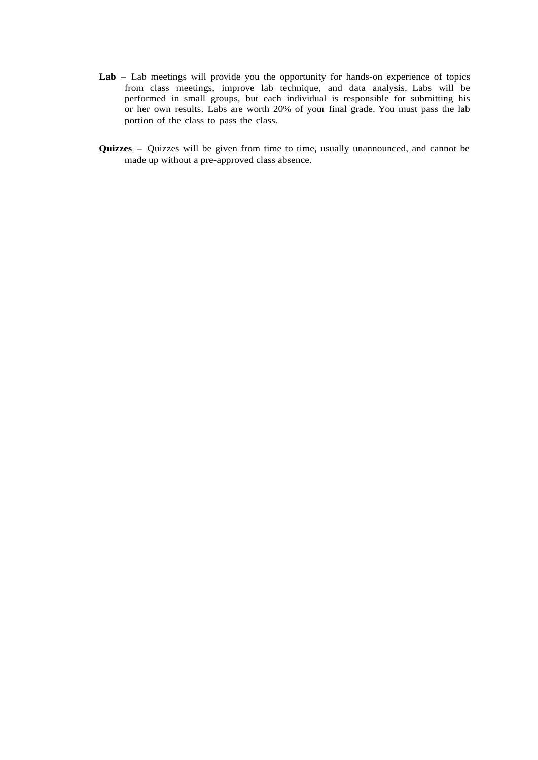- **Lab –** Lab meetings will provide you the opportunity for hands-on experience of topics from class meetings, improve lab technique, and data analysis. Labs will be performed in small groups, but each individual is responsible for submitting his or her own results. Labs are worth 20% of your final grade. You must pass the lab portion of the class to pass the class.
- **Quizzes –** Quizzes will be given from time to time, usually unannounced, and cannot be made up without a pre-approved class absence.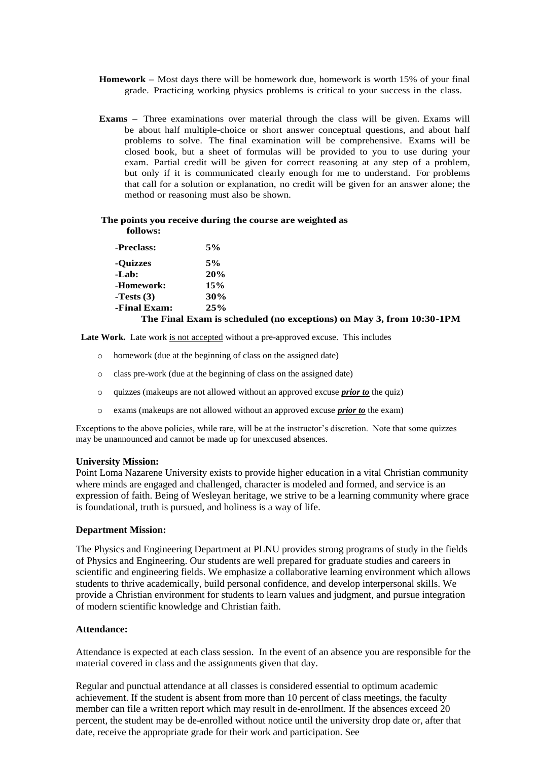- **Homework –** Most days there will be homework due, homework is worth 15% of your final grade. Practicing working physics problems is critical to your success in the class.
- **Exams** Three examinations over material through the class will be given. Exams will be about half multiple-choice or short answer conceptual questions, and about half problems to solve. The final examination will be comprehensive. Exams will be closed book, but a sheet of formulas will be provided to you to use during your exam. Partial credit will be given for correct reasoning at any step of a problem, but only if it is communicated clearly enough for me to understand. For problems that call for a solution or explanation, no credit will be given for an answer alone; the method or reasoning must also be shown.

#### **The points you receive during the course are weighted as follows:**

| -Preclass:   | 5%                                                                   |
|--------------|----------------------------------------------------------------------|
| -Ouizzes     | 5%                                                                   |
| -Lab:        | 20%                                                                  |
| -Homework:   | 15%                                                                  |
| -Tests $(3)$ | 30%                                                                  |
| -Final Exam: | 25%                                                                  |
|              | The Final Exam is scheduled (no exceptions) on May 3, from 10:30-1PM |

Late Work. Late work is not accepted without a pre-approved excuse. This includes

- o homework (due at the beginning of class on the assigned date)
- o class pre-work (due at the beginning of class on the assigned date)
- o quizzes (makeups are not allowed without an approved excuse *prior to* the quiz)
- o exams (makeups are not allowed without an approved excuse *prior to* the exam)

Exceptions to the above policies, while rare, will be at the instructor's discretion. Note that some quizzes may be unannounced and cannot be made up for unexcused absences.

#### **University Mission:**

Point Loma Nazarene University exists to provide higher education in a vital Christian community where minds are engaged and challenged, character is modeled and formed, and service is an expression of faith. Being of Wesleyan heritage, we strive to be a learning community where grace is foundational, truth is pursued, and holiness is a way of life.

#### **Department Mission:**

The Physics and Engineering Department at PLNU provides strong programs of study in the fields of Physics and Engineering. Our students are well prepared for graduate studies and careers in scientific and engineering fields. We emphasize a collaborative learning environment which allows students to thrive academically, build personal confidence, and develop interpersonal skills. We provide a Christian environment for students to learn values and judgment, and pursue integration of modern scientific knowledge and Christian faith.

## **Attendance:**

Attendance is expected at each class session. In the event of an absence you are responsible for the material covered in class and the assignments given that day.

Regular and punctual attendance at all classes is considered essential to optimum academic achievement. If the student is absent from more than 10 percent of class meetings, the faculty member can file a written report which may result in de-enrollment. If the absences exceed 20 percent, the student may be de-enrolled without notice until the university drop date or, after that date, receive the appropriate grade for their work and participation. See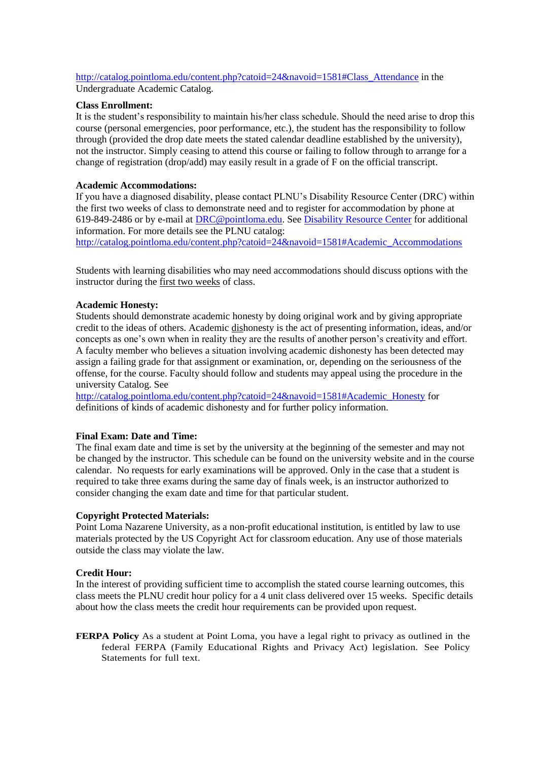[http://catalog.pointloma.edu/content.php?catoid=24&navoid=1581#Class\\_Attendance](http://catalog.pointloma.edu/content.php?catoid=24&navoid=1581#Class_Attendance) in the Undergraduate Academic Catalog.

#### **Class Enrollment:**

It is the student's responsibility to maintain his/her class schedule. Should the need arise to drop this course (personal emergencies, poor performance, etc.), the student has the responsibility to follow through (provided the drop date meets the stated calendar deadline established by the university), not the instructor. Simply ceasing to attend this course or failing to follow through to arrange for a change of registration (drop/add) may easily result in a grade of F on the official transcript.

### **Academic Accommodations:**

If you have a diagnosed disability, please contact PLNU's Disability Resource Center (DRC) within the first two weeks of class to demonstrate need and to register for accommodation by phone at 619-849-2486 or by e-mail at [DRC@pointloma.edu.](mailto:DRC@pointloma.edu) See [Disability Resource Center](http://www.pointloma.edu/experience/offices/administrative-offices/academic-advising-office/disability-resource-center) for additional information. For more details see the PLNU catalog: http://catalog.pointloma.edu/content.php?catoid=24&navoid=1581#Academic\_Accommodations

Students with learning disabilities who may need accommodations should discuss options with the instructor during the first two weeks of class.

#### **Academic Honesty:**

Students should demonstrate academic honesty by doing original work and by giving appropriate credit to the ideas of others. Academic dishonesty is the act of presenting information, ideas, and/or concepts as one's own when in reality they are the results of another person's creativity and effort. A faculty member who believes a situation involving academic dishonesty has been detected may assign a failing grade for that assignment or examination, or, depending on the seriousness of the offense, for the course. Faculty should follow and students may appeal using the procedure in the university Catalog. See

[http://catalog.pointloma.edu/content.php?catoid=24&navoid=1581#Academic\\_Honesty](http://catalog.pointloma.edu/content.php?catoid=24&navoid=1581#Academic_Honesty) for definitions of kinds of academic dishonesty and for further policy information.

#### **Final Exam: Date and Time:**

The final exam date and time is set by the university at the beginning of the semester and may not be changed by the instructor. This schedule can be found on the university website and in the course calendar. No requests for early examinations will be approved. Only in the case that a student is required to take three exams during the same day of finals week, is an instructor authorized to consider changing the exam date and time for that particular student.

#### **Copyright Protected Materials:**

Point Loma Nazarene University, as a non-profit educational institution, is entitled by law to use materials protected by the US Copyright Act for classroom education. Any use of those materials outside the class may violate the law.

#### **Credit Hour:**

In the interest of providing sufficient time to accomplish the stated course learning outcomes, this class meets the PLNU credit hour policy for a 4 unit class delivered over 15 weeks. Specific details about how the class meets the credit hour requirements can be provided upon request.

**FERPA Policy** As a student at Point Loma, you have a legal right to privacy as outlined in the federal FERPA (Family Educational Rights and Privacy Act) legislation. See Policy Statements for full text.